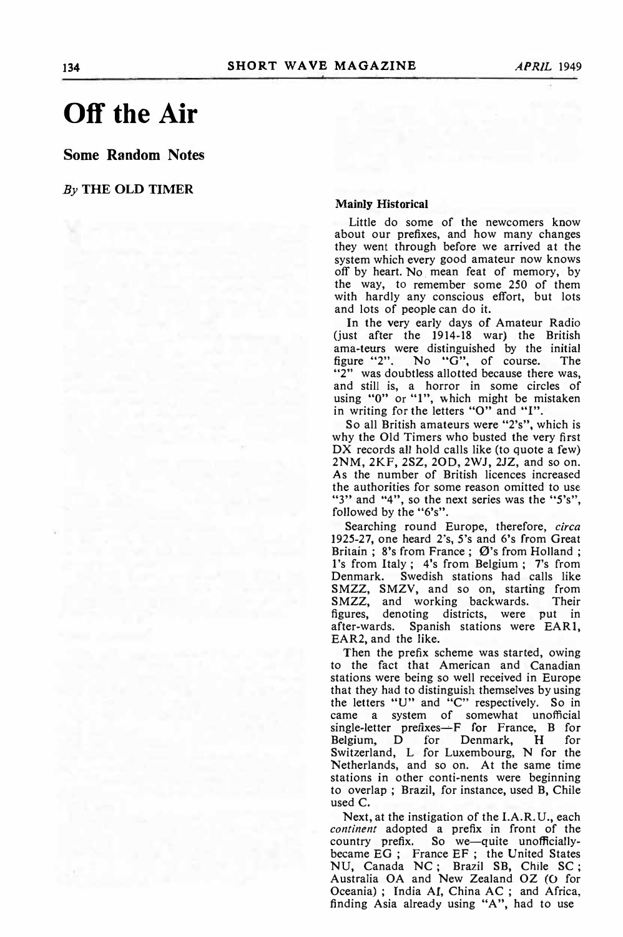## **Off the Air**

**Some Random Notes** 

## *By* **THE OLD TIMER**

## **Mainly Historical**

Little do some of the newcomers know about our prefixes, and how many changes they went through before we arrived at the system which every good amateur now knows off by heart. No. mean feat of memory, by the way, to remember some 250 of them with hardly any conscious effort, but lots and lots of people can do it.

In the very early days of Amateur Radio (just after the 1914-18 war) the British ama-teurs were distinguished by the initial figure "2". No "G", of course. The "2" was doubtless allotted because there was, and still is, a horror in some circles of using "0" or "1", which might be mistaken in writing for the letters "0" and "I".

So all British amateurs were "2's", which is why the Old Timers who busted the very first DX records all hold calls like (to quote a few) 2NM, 2KF, 2SZ, 20D, 2WJ, 2JZ, and so on. As the number of British licences increased the authorities for some reason omitted to use " $3"$  and " $4"$ , so the next series was the " $5's"$ , followed by the "6's".

Searching round Europe, therefore, *circa*  1925-27, one heard 2's, 5's and 6's from Great Britain; 8's from France;  $\emptyset$ 's from Holland; l's from Italy; 4's from Belgium; 7's from Denmark. Swedish stations had calls like SMZZ, SMZV, and so on, starting from<br>SMZZ, and working backwards. Their SMZZ, and working backwards. figures, denoting districts, were put in after-wards. Spanish stations were EAR1, EAR2, and the like.

Then the prefix scheme was started, owing to the fact that American and Canadian stations were being so well received in Europe that they had to distinguish themselves by using the letters "U" and "C" respectively. So in came a system of somewhat unofficial single-letter prefixes—F for France, B for<br>Belgium, D for Denmark, H for Denmark, H for Switzerland, L for Luxembourg, N for the Netherlands, and so on. At the same time stations in other conti-nents were beginning to overlap; Brazil, for instance, used B, Chile used C.

Next, at the instigation of the I.A.R.U., each *continent* adopted a prefix in front of the country prefix. So we-quite unofficiallybecame EG; France EF; the United States NU, Canada NC; Brazil SB, Chile SC; Australia OA and New Zealand OZ (0 for Oceania); India AI, China AC; and Africa, finding Asia already using "A", had to use